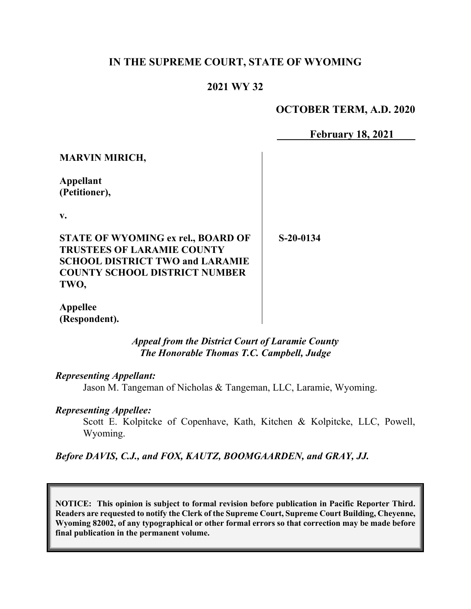## **IN THE SUPREME COURT, STATE OF WYOMING**

## **2021 WY 32**

### **OCTOBER TERM, A.D. 2020**

**February 18, 2021**

| <b>MARVIN MIRICH,</b>                                                                                                                                     |             |
|-----------------------------------------------------------------------------------------------------------------------------------------------------------|-------------|
| <b>Appellant</b><br>(Petitioner),                                                                                                                         |             |
| $\mathbf{v}$ .                                                                                                                                            |             |
| STATE OF WYOMING ex rel., BOARD OF<br><b>TRUSTEES OF LARAMIE COUNTY</b><br><b>SCHOOL DISTRICT TWO and LARAMIE</b><br><b>COUNTY SCHOOL DISTRICT NUMBER</b> | $S-20-0134$ |
| TWO.                                                                                                                                                      |             |

**Appellee (Respondent).**

> *Appeal from the District Court of Laramie County The Honorable Thomas T.C. Campbell, Judge*

#### *Representing Appellant:*

Jason M. Tangeman of Nicholas & Tangeman, LLC, Laramie, Wyoming.

#### *Representing Appellee:*

Scott E. Kolpitcke of Copenhave, Kath, Kitchen & Kolpitcke, LLC, Powell, Wyoming.

*Before DAVIS, C.J., and FOX, KAUTZ, BOOMGAARDEN, and GRAY, JJ.*

**NOTICE: This opinion is subject to formal revision before publication in Pacific Reporter Third. Readers are requested to notify the Clerk of the Supreme Court, Supreme Court Building, Cheyenne, Wyoming 82002, of any typographical or other formal errors so that correction may be made before final publication in the permanent volume.**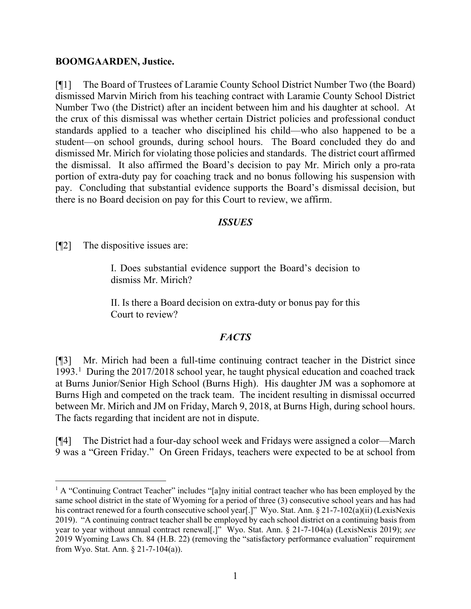#### **BOOMGAARDEN, Justice.**

[¶1] The Board of Trustees of Laramie County School District Number Two (the Board) dismissed Marvin Mirich from his teaching contract with Laramie County School District Number Two (the District) after an incident between him and his daughter at school. At the crux of this dismissal was whether certain District policies and professional conduct standards applied to a teacher who disciplined his child—who also happened to be a student—on school grounds, during school hours. The Board concluded they do and dismissed Mr. Mirich for violating those policies and standards. The district court affirmed the dismissal. It also affirmed the Board's decision to pay Mr. Mirich only a pro-rata portion of extra-duty pay for coaching track and no bonus following his suspension with pay. Concluding that substantial evidence supports the Board's dismissal decision, but there is no Board decision on pay for this Court to review, we affirm.

#### *ISSUES*

[¶2] The dispositive issues are:

I. Does substantial evidence support the Board's decision to dismiss Mr. Mirich?

II. Is there a Board decision on extra-duty or bonus pay for this Court to review?

#### *FACTS*

[¶3] Mr. Mirich had been a full-time continuing contract teacher in the District since [1](#page-1-0)993.<sup>1</sup> During the 2017/2018 school year, he taught physical education and coached track at Burns Junior/Senior High School (Burns High). His daughter JM was a sophomore at Burns High and competed on the track team. The incident resulting in dismissal occurred between Mr. Mirich and JM on Friday, March 9, 2018, at Burns High, during school hours. The facts regarding that incident are not in dispute.

[¶4] The District had a four-day school week and Fridays were assigned a color—March 9 was a "Green Friday." On Green Fridays, teachers were expected to be at school from

<span id="page-1-0"></span> $<sup>1</sup>$  A "Continuing Contract Teacher" includes "[a]ny initial contract teacher who has been employed by the</sup> same school district in the state of Wyoming for a period of three (3) consecutive school years and has had his contract renewed for a fourth consecutive school year[.]" Wyo. Stat. Ann. § 21-7-102(a)(ii) (LexisNexis 2019). "A continuing contract teacher shall be employed by each school district on a continuing basis from year to year without annual contract renewal[.]" Wyo. Stat. Ann. § 21-7-104(a) (LexisNexis 2019); *see*  2019 Wyoming Laws Ch. 84 (H.B. 22) (removing the "satisfactory performance evaluation" requirement from Wyo. Stat. Ann. § 21-7-104(a)).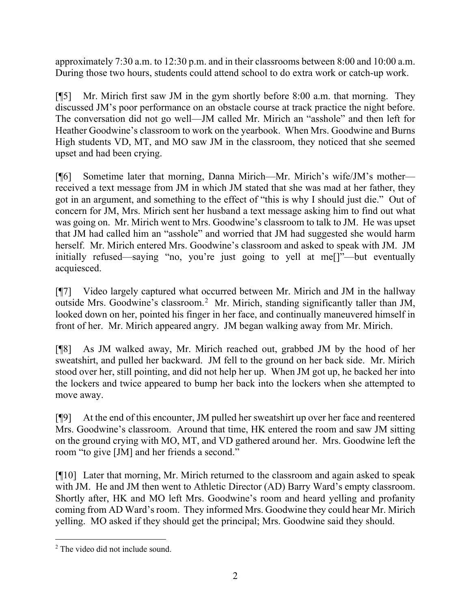approximately 7:30 a.m. to 12:30 p.m. and in their classrooms between 8:00 and 10:00 a.m. During those two hours, students could attend school to do extra work or catch-up work.

[¶5] Mr. Mirich first saw JM in the gym shortly before 8:00 a.m. that morning. They discussed JM's poor performance on an obstacle course at track practice the night before. The conversation did not go well—JM called Mr. Mirich an "asshole" and then left for Heather Goodwine's classroom to work on the yearbook. When Mrs. Goodwine and Burns High students VD, MT, and MO saw JM in the classroom, they noticed that she seemed upset and had been crying.

[¶6] Sometime later that morning, Danna Mirich—Mr. Mirich's wife/JM's mother received a text message from JM in which JM stated that she was mad at her father, they got in an argument, and something to the effect of "this is why I should just die." Out of concern for JM, Mrs. Mirich sent her husband a text message asking him to find out what was going on. Mr. Mirich went to Mrs. Goodwine's classroom to talk to JM. He was upset that JM had called him an "asshole" and worried that JM had suggested she would harm herself. Mr. Mirich entered Mrs. Goodwine's classroom and asked to speak with JM. JM initially refused—saying "no, you're just going to yell at me[]"—but eventually acquiesced.

[¶7] Video largely captured what occurred between Mr. Mirich and JM in the hallway outside Mrs. Goodwine's classroom.<sup>[2](#page-2-0)</sup> Mr. Mirich, standing significantly taller than JM, looked down on her, pointed his finger in her face, and continually maneuvered himself in front of her. Mr. Mirich appeared angry. JM began walking away from Mr. Mirich.

[¶8] As JM walked away, Mr. Mirich reached out, grabbed JM by the hood of her sweatshirt, and pulled her backward. JM fell to the ground on her back side. Mr. Mirich stood over her, still pointing, and did not help her up. When JM got up, he backed her into the lockers and twice appeared to bump her back into the lockers when she attempted to move away.

[¶9] At the end of this encounter, JM pulled her sweatshirt up over her face and reentered Mrs. Goodwine's classroom. Around that time, HK entered the room and saw JM sitting on the ground crying with MO, MT, and VD gathered around her. Mrs. Goodwine left the room "to give [JM] and her friends a second."

[¶10] Later that morning, Mr. Mirich returned to the classroom and again asked to speak with JM. He and JM then went to Athletic Director (AD) Barry Ward's empty classroom. Shortly after, HK and MO left Mrs. Goodwine's room and heard yelling and profanity coming from AD Ward's room. They informed Mrs. Goodwine they could hear Mr. Mirich yelling. MO asked if they should get the principal; Mrs. Goodwine said they should.

<span id="page-2-0"></span><sup>&</sup>lt;sup>2</sup> The video did not include sound.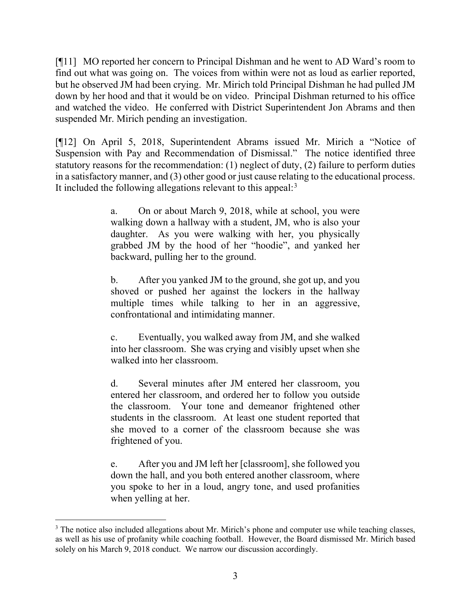[¶11] MO reported her concern to Principal Dishman and he went to AD Ward's room to find out what was going on. The voices from within were not as loud as earlier reported, but he observed JM had been crying. Mr. Mirich told Principal Dishman he had pulled JM down by her hood and that it would be on video. Principal Dishman returned to his office and watched the video. He conferred with District Superintendent Jon Abrams and then suspended Mr. Mirich pending an investigation.

[¶12] On April 5, 2018, Superintendent Abrams issued Mr. Mirich a "Notice of Suspension with Pay and Recommendation of Dismissal." The notice identified three statutory reasons for the recommendation: (1) neglect of duty, (2) failure to perform duties in a satisfactory manner, and (3) other good or just cause relating to the educational process. It included the following allegations relevant to this appeal:<sup>[3](#page-3-0)</sup>

> a. On or about March 9, 2018, while at school, you were walking down a hallway with a student, JM, who is also your daughter. As you were walking with her, you physically grabbed JM by the hood of her "hoodie", and yanked her backward, pulling her to the ground.

> b. After you yanked JM to the ground, she got up, and you shoved or pushed her against the lockers in the hallway multiple times while talking to her in an aggressive, confrontational and intimidating manner.

> c. Eventually, you walked away from JM, and she walked into her classroom. She was crying and visibly upset when she walked into her classroom.

> d. Several minutes after JM entered her classroom, you entered her classroom, and ordered her to follow you outside the classroom. Your tone and demeanor frightened other students in the classroom. At least one student reported that she moved to a corner of the classroom because she was frightened of you.

> e. After you and JM left her [classroom], she followed you down the hall, and you both entered another classroom, where you spoke to her in a loud, angry tone, and used profanities when yelling at her.

<span id="page-3-0"></span><sup>&</sup>lt;sup>3</sup> The notice also included allegations about Mr. Mirich's phone and computer use while teaching classes, as well as his use of profanity while coaching football. However, the Board dismissed Mr. Mirich based solely on his March 9, 2018 conduct. We narrow our discussion accordingly.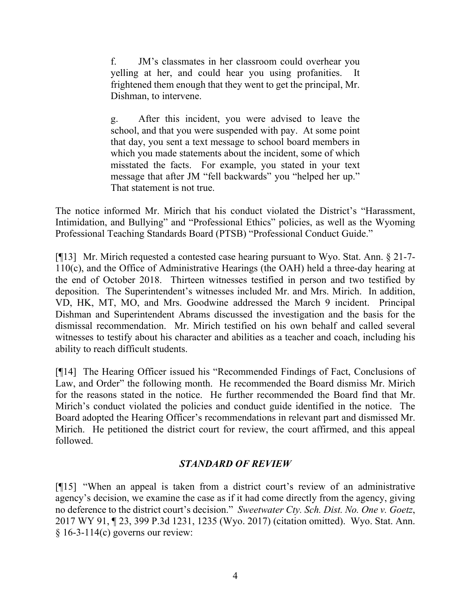f. JM's classmates in her classroom could overhear you yelling at her, and could hear you using profanities. It frightened them enough that they went to get the principal, Mr. Dishman, to intervene.

g. After this incident, you were advised to leave the school, and that you were suspended with pay. At some point that day, you sent a text message to school board members in which you made statements about the incident, some of which misstated the facts. For example, you stated in your text message that after JM "fell backwards" you "helped her up." That statement is not true.

The notice informed Mr. Mirich that his conduct violated the District's "Harassment, Intimidation, and Bullying" and "Professional Ethics" policies, as well as the Wyoming Professional Teaching Standards Board (PTSB) "Professional Conduct Guide."

[¶13] Mr. Mirich requested a contested case hearing pursuant to Wyo. Stat. Ann. § 21-7- 110(c), and the Office of Administrative Hearings (the OAH) held a three-day hearing at the end of October 2018. Thirteen witnesses testified in person and two testified by deposition. The Superintendent's witnesses included Mr. and Mrs. Mirich. In addition, VD, HK, MT, MO, and Mrs. Goodwine addressed the March 9 incident. Principal Dishman and Superintendent Abrams discussed the investigation and the basis for the dismissal recommendation. Mr. Mirich testified on his own behalf and called several witnesses to testify about his character and abilities as a teacher and coach, including his ability to reach difficult students.

[¶14] The Hearing Officer issued his "Recommended Findings of Fact, Conclusions of Law, and Order" the following month. He recommended the Board dismiss Mr. Mirich for the reasons stated in the notice. He further recommended the Board find that Mr. Mirich's conduct violated the policies and conduct guide identified in the notice. The Board adopted the Hearing Officer's recommendations in relevant part and dismissed Mr. Mirich. He petitioned the district court for review, the court affirmed, and this appeal followed.

# *STANDARD OF REVIEW*

[¶15] "When an appeal is taken from a district court's review of an administrative agency's decision, we examine the case as if it had come directly from the agency, giving no deference to the district court's decision." *Sweetwater Cty. Sch. Dist. No. One v. Goetz*, 2017 WY 91, ¶ 23, 399 P.3d 1231, 1235 (Wyo. 2017) (citation omitted). Wyo. Stat. Ann.  $§ 16-3-114(c)$  governs our review: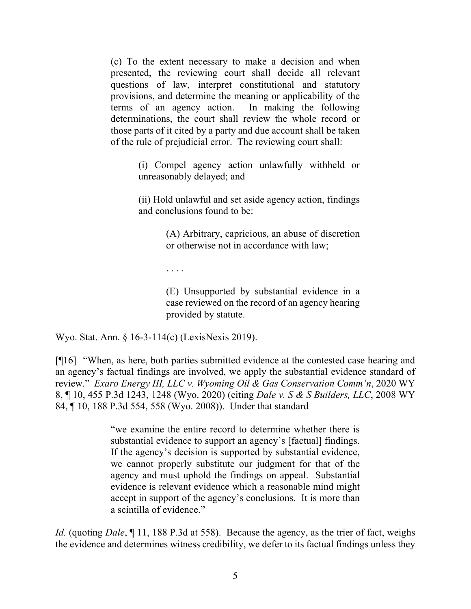(c) To the extent necessary to make a decision and when presented, the reviewing court shall decide all relevant questions of law, interpret constitutional and statutory provisions, and determine the meaning or applicability of the terms of an agency action. In making the following determinations, the court shall review the whole record or those parts of it cited by a party and due account shall be taken of the rule of prejudicial error. The reviewing court shall:

> (i) Compel agency action unlawfully withheld or unreasonably delayed; and

> (ii) Hold unlawful and set aside agency action, findings and conclusions found to be:

> > (A) Arbitrary, capricious, an abuse of discretion or otherwise not in accordance with law;

. . . .

(E) Unsupported by substantial evidence in a case reviewed on the record of an agency hearing provided by statute.

Wyo. Stat. Ann. § 16-3-114(c) (LexisNexis 2019).

[¶16] "When, as here, both parties submitted evidence at the contested case hearing and an agency's factual findings are involved, we apply the substantial evidence standard of review." *Exaro Energy III, LLC v. Wyoming Oil & Gas Conservation Comm'n*, 2020 WY 8, ¶ 10, 455 P.3d 1243, 1248 (Wyo. 2020) (citing *Dale v. S & S Builders, LLC*, 2008 WY 84, ¶ 10, 188 P.3d 554, 558 (Wyo. 2008)). Under that standard

> "we examine the entire record to determine whether there is substantial evidence to support an agency's [factual] findings. If the agency's decision is supported by substantial evidence, we cannot properly substitute our judgment for that of the agency and must uphold the findings on appeal. Substantial evidence is relevant evidence which a reasonable mind might accept in support of the agency's conclusions. It is more than a scintilla of evidence."

*Id.* (quoting *Dale*, ¶ 11, 188 P.3d at 558). Because the agency, as the trier of fact, weighs the evidence and determines witness credibility, we defer to its factual findings unless they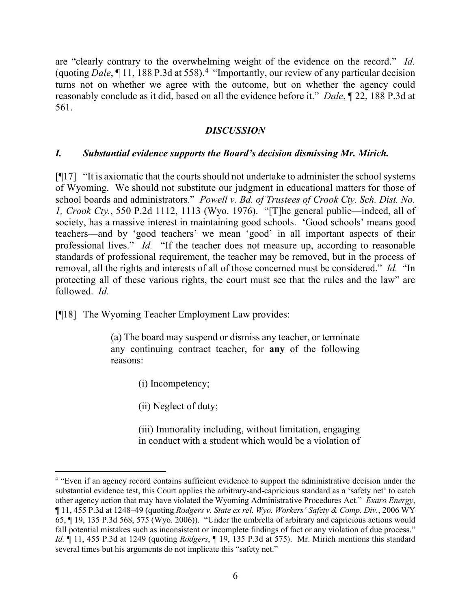are "clearly contrary to the overwhelming weight of the evidence on the record." *Id.* (quoting *Dale*, ¶ 11, 188 P.3d at 558).[4](#page-6-0) "Importantly, our review of any particular decision turns not on whether we agree with the outcome, but on whether the agency could reasonably conclude as it did, based on all the evidence before it." *Dale*, ¶ 22, 188 P.3d at 561.

### *DISCUSSION*

### *I. Substantial evidence supports the Board's decision dismissing Mr. Mirich.*

 $\lceil \eta \rceil 17$  "It is axiomatic that the courts should not undertake to administer the school systems of Wyoming. We should not substitute our judgment in educational matters for those of school boards and administrators." *Powell v. Bd. of Trustees of Crook Cty. Sch. Dist. No. 1, Crook Cty.*, 550 P.2d 1112, 1113 (Wyo. 1976). "[T]he general public—indeed, all of society, has a massive interest in maintaining good schools. 'Good schools' means good teachers—and by 'good teachers' we mean 'good' in all important aspects of their professional lives." *Id.* "If the teacher does not measure up, according to reasonable standards of professional requirement, the teacher may be removed, but in the process of removal, all the rights and interests of all of those concerned must be considered." *Id.* "In protecting all of these various rights, the court must see that the rules and the law" are followed. *Id.*

[¶18] The Wyoming Teacher Employment Law provides:

(a) The board may suspend or dismiss any teacher, or terminate any continuing contract teacher, for **any** of the following reasons:

(i) Incompetency;

(ii) Neglect of duty;

(iii) Immorality including, without limitation, engaging in conduct with a student which would be a violation of

<span id="page-6-0"></span><sup>&</sup>lt;sup>4</sup> "Even if an agency record contains sufficient evidence to support the administrative decision under the substantial evidence test, this Court applies the arbitrary-and-capricious standard as a 'safety net' to catch other agency action that may have violated the Wyoming Administrative Procedures Act." *Exaro Energy*, ¶ 11, 455 P.3d at 1248–49 (quoting *Rodgers v. State ex rel. Wyo. Workers' Safety & Comp. Div.*, 2006 WY 65, ¶ 19, 135 P.3d 568, 575 (Wyo. 2006)). "Under the umbrella of arbitrary and capricious actions would fall potential mistakes such as inconsistent or incomplete findings of fact or any violation of due process." *Id.* ¶ 11, 455 P.3d at 1249 (quoting *Rodgers*, ¶ 19, 135 P.3d at 575). Mr. Mirich mentions this standard several times but his arguments do not implicate this "safety net."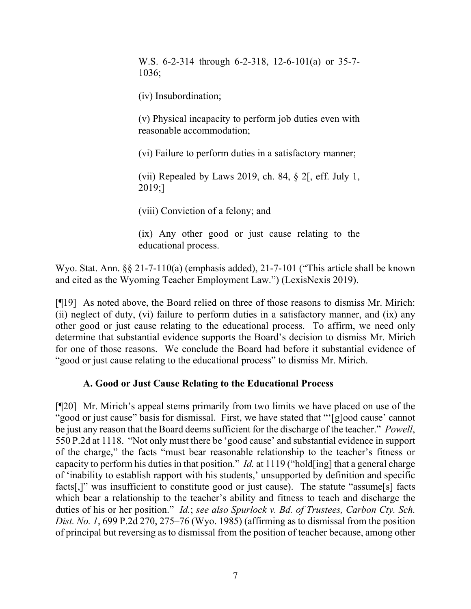W.S. 6-2-314 through 6-2-318, 12-6-101(a) or 35-7- 1036;

(iv) Insubordination;

(v) Physical incapacity to perform job duties even with reasonable accommodation;

(vi) Failure to perform duties in a satisfactory manner;

(vii) Repealed by Laws 2019, ch. 84,  $\S$  2[, eff. July 1, 2019;]

(viii) Conviction of a felony; and

(ix) Any other good or just cause relating to the educational process.

Wyo. Stat. Ann. §§ 21-7-110(a) (emphasis added), 21-7-101 ("This article shall be known and cited as the Wyoming Teacher Employment Law.") (LexisNexis 2019).

[¶19] As noted above, the Board relied on three of those reasons to dismiss Mr. Mirich: (ii) neglect of duty, (vi) failure to perform duties in a satisfactory manner, and (ix) any other good or just cause relating to the educational process. To affirm, we need only determine that substantial evidence supports the Board's decision to dismiss Mr. Mirich for one of those reasons. We conclude the Board had before it substantial evidence of "good or just cause relating to the educational process" to dismiss Mr. Mirich.

#### **A. Good or Just Cause Relating to the Educational Process**

[¶20] Mr. Mirich's appeal stems primarily from two limits we have placed on use of the "good or just cause" basis for dismissal. First, we have stated that "'[g]ood cause' cannot be just any reason that the Board deems sufficient for the discharge of the teacher." *Powell*, 550 P.2d at 1118. "Not only must there be 'good cause' and substantial evidence in support of the charge," the facts "must bear reasonable relationship to the teacher's fitness or capacity to perform his duties in that position." *Id.* at 1119 ("hold[ing] that a general charge of 'inability to establish rapport with his students,' unsupported by definition and specific facts[,]" was insufficient to constitute good or just cause). The statute "assume[s] facts which bear a relationship to the teacher's ability and fitness to teach and discharge the duties of his or her position." *Id.*; *see also Spurlock v. Bd. of Trustees, Carbon Cty. Sch. Dist. No. 1*, 699 P.2d 270, 275–76 (Wyo. 1985) (affirming as to dismissal from the position of principal but reversing as to dismissal from the position of teacher because, among other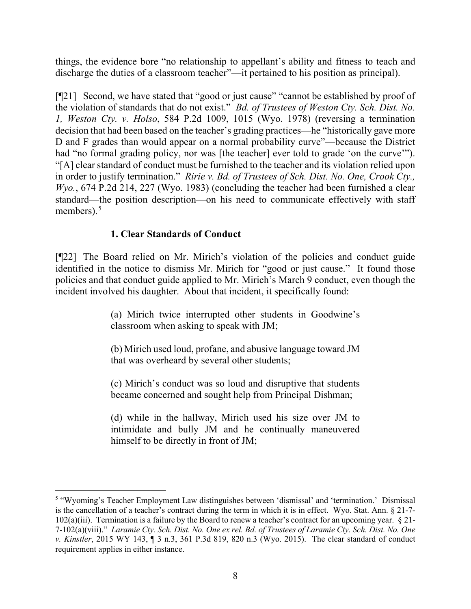things, the evidence bore "no relationship to appellant's ability and fitness to teach and discharge the duties of a classroom teacher"—it pertained to his position as principal).

[¶21] Second, we have stated that "good or just cause" "cannot be established by proof of the violation of standards that do not exist." *Bd. of Trustees of Weston Cty. Sch. Dist. No. 1, Weston Cty. v. Holso*, 584 P.2d 1009, 1015 (Wyo. 1978) (reversing a termination decision that had been based on the teacher's grading practices—he "historically gave more D and F grades than would appear on a normal probability curve"—because the District had "no formal grading policy, nor was [the teacher] ever told to grade 'on the curve'"). "[A] clear standard of conduct must be furnished to the teacher and its violation relied upon in order to justify termination." *Ririe v. Bd. of Trustees of Sch. Dist. No. One, Crook Cty., Wyo.*, 674 P.2d 214, 227 (Wyo. 1983) (concluding the teacher had been furnished a clear standard—the position description—on his need to communicate effectively with staff members). $5$ 

## **1. Clear Standards of Conduct**

[¶22] The Board relied on Mr. Mirich's violation of the policies and conduct guide identified in the notice to dismiss Mr. Mirich for "good or just cause." It found those policies and that conduct guide applied to Mr. Mirich's March 9 conduct, even though the incident involved his daughter. About that incident, it specifically found:

> (a) Mirich twice interrupted other students in Goodwine's classroom when asking to speak with JM;

> (b) Mirich used loud, profane, and abusive language toward JM that was overheard by several other students;

> (c) Mirich's conduct was so loud and disruptive that students became concerned and sought help from Principal Dishman;

> (d) while in the hallway, Mirich used his size over JM to intimidate and bully JM and he continually maneuvered himself to be directly in front of JM;

<span id="page-8-0"></span><sup>5</sup> "Wyoming's Teacher Employment Law distinguishes between 'dismissal' and 'termination.' Dismissal is the cancellation of a teacher's contract during the term in which it is in effect. Wyo. Stat. Ann. § 21-7- 102(a)(iii). Termination is a failure by the Board to renew a teacher's contract for an upcoming year.  $\S 21$ -7-102(a)(viii)." *Laramie Cty. Sch. Dist. No. One ex rel. Bd. of Trustees of Laramie Cty. Sch. Dist. No. One v. Kinstler*, 2015 WY 143, ¶ 3 n.3, 361 P.3d 819, 820 n.3 (Wyo. 2015). The clear standard of conduct requirement applies in either instance.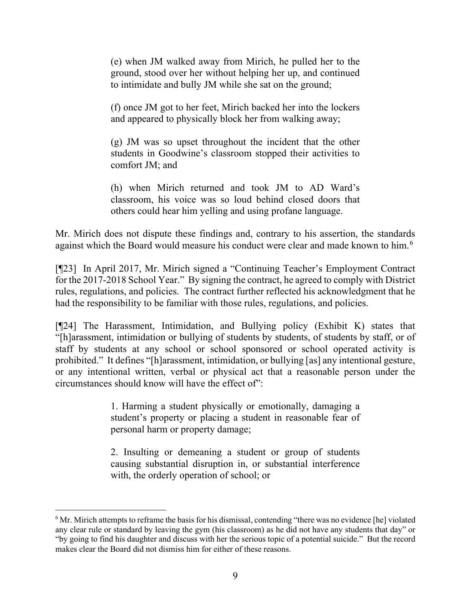(e) when JM walked away from Mirich, he pulled her to the ground, stood over her without helping her up, and continued to intimidate and bully JM while she sat on the ground;

(f) once JM got to her feet, Mirich backed her into the lockers and appeared to physically block her from walking away;

(g) JM was so upset throughout the incident that the other students in Goodwine's classroom stopped their activities to comfort JM; and

(h) when Mirich returned and took JM to AD Ward's classroom, his voice was so loud behind closed doors that others could hear him yelling and using profane language.

Mr. Mirich does not dispute these findings and, contrary to his assertion, the standards against which the Board would measure his conduct were clear and made known to him.<sup>[6](#page-9-0)</sup>

[¶23] In April 2017, Mr. Mirich signed a "Continuing Teacher's Employment Contract for the 2017-2018 School Year." By signing the contract, he agreed to comply with District rules, regulations, and policies. The contract further reflected his acknowledgment that he had the responsibility to be familiar with those rules, regulations, and policies.

[¶24] The Harassment, Intimidation, and Bullying policy (Exhibit K) states that "[h]arassment, intimidation or bullying of students by students, of students by staff, or of staff by students at any school or school sponsored or school operated activity is prohibited." It defines "[h]arassment, intimidation, or bullying [as] any intentional gesture, or any intentional written, verbal or physical act that a reasonable person under the circumstances should know will have the effect of":

> 1. Harming a student physically or emotionally, damaging a student's property or placing a student in reasonable fear of personal harm or property damage;

> 2. Insulting or demeaning a student or group of students causing substantial disruption in, or substantial interference with, the orderly operation of school; or

<span id="page-9-0"></span><sup>&</sup>lt;sup>6</sup> Mr. Mirich attempts to reframe the basis for his dismissal, contending "there was no evidence [he] violated any clear rule or standard by leaving the gym (his classroom) as he did not have any students that day" or "by going to find his daughter and discuss with her the serious topic of a potential suicide." But the record makes clear the Board did not dismiss him for either of these reasons.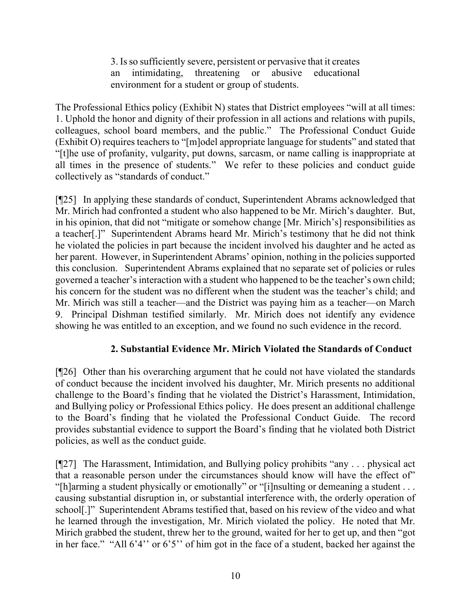3. Is so sufficiently severe, persistent or pervasive that it creates an intimidating, threatening or abusive educational environment for a student or group of students.

The Professional Ethics policy (Exhibit N) states that District employees "will at all times: 1. Uphold the honor and dignity of their profession in all actions and relations with pupils, colleagues, school board members, and the public." The Professional Conduct Guide (Exhibit O) requires teachers to "[m]odel appropriate language for students" and stated that "[t]he use of profanity, vulgarity, put downs, sarcasm, or name calling is inappropriate at all times in the presence of students." We refer to these policies and conduct guide collectively as "standards of conduct."

[¶25] In applying these standards of conduct, Superintendent Abrams acknowledged that Mr. Mirich had confronted a student who also happened to be Mr. Mirich's daughter. But, in his opinion, that did not "mitigate or somehow change [Mr. Mirich's] responsibilities as a teacher[.]" Superintendent Abrams heard Mr. Mirich's testimony that he did not think he violated the policies in part because the incident involved his daughter and he acted as her parent. However, in Superintendent Abrams' opinion, nothing in the policies supported this conclusion. Superintendent Abrams explained that no separate set of policies or rules governed a teacher's interaction with a student who happened to be the teacher's own child; his concern for the student was no different when the student was the teacher's child; and Mr. Mirich was still a teacher—and the District was paying him as a teacher—on March 9. Principal Dishman testified similarly. Mr. Mirich does not identify any evidence showing he was entitled to an exception, and we found no such evidence in the record.

# **2. Substantial Evidence Mr. Mirich Violated the Standards of Conduct**

[¶26] Other than his overarching argument that he could not have violated the standards of conduct because the incident involved his daughter, Mr. Mirich presents no additional challenge to the Board's finding that he violated the District's Harassment, Intimidation, and Bullying policy or Professional Ethics policy. He does present an additional challenge to the Board's finding that he violated the Professional Conduct Guide. The record provides substantial evidence to support the Board's finding that he violated both District policies, as well as the conduct guide.

[¶27] The Harassment, Intimidation, and Bullying policy prohibits "any . . . physical act that a reasonable person under the circumstances should know will have the effect of" "[h]arming a student physically or emotionally" or "[i]nsulting or demeaning a student . . . causing substantial disruption in, or substantial interference with, the orderly operation of school[.]" Superintendent Abrams testified that, based on his review of the video and what he learned through the investigation, Mr. Mirich violated the policy. He noted that Mr. Mirich grabbed the student, threw her to the ground, waited for her to get up, and then "got in her face." "All 6'4'' or 6'5'' of him got in the face of a student, backed her against the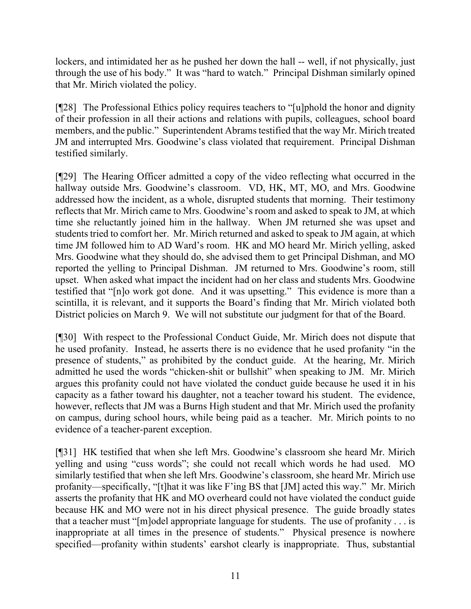lockers, and intimidated her as he pushed her down the hall -- well, if not physically, just through the use of his body." It was "hard to watch." Principal Dishman similarly opined that Mr. Mirich violated the policy.

[¶28] The Professional Ethics policy requires teachers to "[u]phold the honor and dignity of their profession in all their actions and relations with pupils, colleagues, school board members, and the public." Superintendent Abrams testified that the way Mr. Mirich treated JM and interrupted Mrs. Goodwine's class violated that requirement. Principal Dishman testified similarly.

[¶29] The Hearing Officer admitted a copy of the video reflecting what occurred in the hallway outside Mrs. Goodwine's classroom. VD, HK, MT, MO, and Mrs. Goodwine addressed how the incident, as a whole, disrupted students that morning. Their testimony reflects that Mr. Mirich came to Mrs. Goodwine's room and asked to speak to JM, at which time she reluctantly joined him in the hallway. When JM returned she was upset and students tried to comfort her. Mr. Mirich returned and asked to speak to JM again, at which time JM followed him to AD Ward's room. HK and MO heard Mr. Mirich yelling, asked Mrs. Goodwine what they should do, she advised them to get Principal Dishman, and MO reported the yelling to Principal Dishman. JM returned to Mrs. Goodwine's room, still upset. When asked what impact the incident had on her class and students Mrs. Goodwine testified that "[n]o work got done. And it was upsetting." This evidence is more than a scintilla, it is relevant, and it supports the Board's finding that Mr. Mirich violated both District policies on March 9. We will not substitute our judgment for that of the Board.

[¶30] With respect to the Professional Conduct Guide, Mr. Mirich does not dispute that he used profanity. Instead, he asserts there is no evidence that he used profanity "in the presence of students," as prohibited by the conduct guide. At the hearing, Mr. Mirich admitted he used the words "chicken-shit or bullshit" when speaking to JM. Mr. Mirich argues this profanity could not have violated the conduct guide because he used it in his capacity as a father toward his daughter, not a teacher toward his student. The evidence, however, reflects that JM was a Burns High student and that Mr. Mirich used the profanity on campus, during school hours, while being paid as a teacher. Mr. Mirich points to no evidence of a teacher-parent exception.

[¶31] HK testified that when she left Mrs. Goodwine's classroom she heard Mr. Mirich yelling and using "cuss words"; she could not recall which words he had used. MO similarly testified that when she left Mrs. Goodwine's classroom, she heard Mr. Mirich use profanity—specifically, "[t]hat it was like F'ing BS that [JM] acted this way." Mr. Mirich asserts the profanity that HK and MO overheard could not have violated the conduct guide because HK and MO were not in his direct physical presence. The guide broadly states that a teacher must "[m]odel appropriate language for students. The use of profanity  $\dots$  is inappropriate at all times in the presence of students." Physical presence is nowhere specified—profanity within students' earshot clearly is inappropriate. Thus, substantial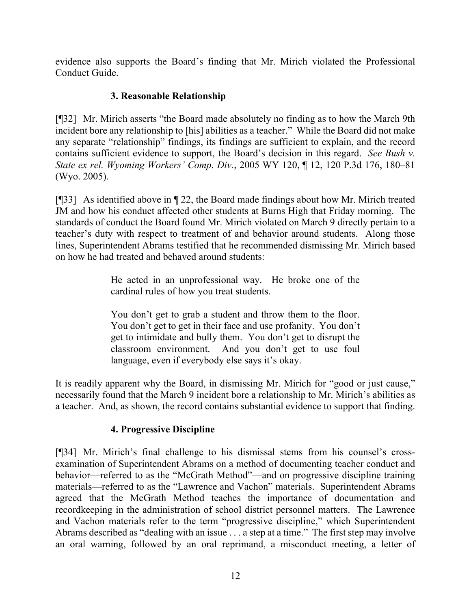evidence also supports the Board's finding that Mr. Mirich violated the Professional Conduct Guide.

# **3. Reasonable Relationship**

[¶32] Mr. Mirich asserts "the Board made absolutely no finding as to how the March 9th incident bore any relationship to [his] abilities as a teacher." While the Board did not make any separate "relationship" findings, its findings are sufficient to explain, and the record contains sufficient evidence to support, the Board's decision in this regard. *See Bush v. State ex rel. Wyoming Workers' Comp. Div.*, 2005 WY 120, ¶ 12, 120 P.3d 176, 180–81 (Wyo. 2005).

[¶33] As identified above in ¶ 22, the Board made findings about how Mr. Mirich treated JM and how his conduct affected other students at Burns High that Friday morning. The standards of conduct the Board found Mr. Mirich violated on March 9 directly pertain to a teacher's duty with respect to treatment of and behavior around students. Along those lines, Superintendent Abrams testified that he recommended dismissing Mr. Mirich based on how he had treated and behaved around students:

> He acted in an unprofessional way. He broke one of the cardinal rules of how you treat students.

> You don't get to grab a student and throw them to the floor. You don't get to get in their face and use profanity. You don't get to intimidate and bully them. You don't get to disrupt the classroom environment. And you don't get to use foul language, even if everybody else says it's okay.

It is readily apparent why the Board, in dismissing Mr. Mirich for "good or just cause," necessarily found that the March 9 incident bore a relationship to Mr. Mirich's abilities as a teacher. And, as shown, the record contains substantial evidence to support that finding.

# **4. Progressive Discipline**

[¶34] Mr. Mirich's final challenge to his dismissal stems from his counsel's crossexamination of Superintendent Abrams on a method of documenting teacher conduct and behavior—referred to as the "McGrath Method"—and on progressive discipline training materials—referred to as the "Lawrence and Vachon" materials. Superintendent Abrams agreed that the McGrath Method teaches the importance of documentation and recordkeeping in the administration of school district personnel matters. The Lawrence and Vachon materials refer to the term "progressive discipline," which Superintendent Abrams described as "dealing with an issue . . . a step at a time." The first step may involve an oral warning, followed by an oral reprimand, a misconduct meeting, a letter of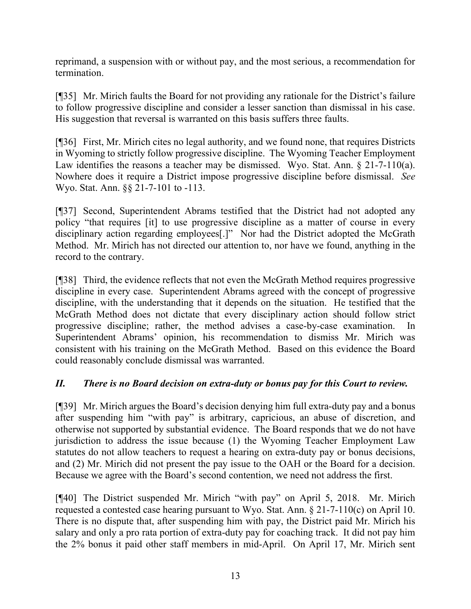reprimand, a suspension with or without pay, and the most serious, a recommendation for termination.

[¶35] Mr. Mirich faults the Board for not providing any rationale for the District's failure to follow progressive discipline and consider a lesser sanction than dismissal in his case. His suggestion that reversal is warranted on this basis suffers three faults.

[¶36] First, Mr. Mirich cites no legal authority, and we found none, that requires Districts in Wyoming to strictly follow progressive discipline. The Wyoming Teacher Employment Law identifies the reasons a teacher may be dismissed. Wyo. Stat. Ann. § 21-7-110(a). Nowhere does it require a District impose progressive discipline before dismissal. *See* Wyo. Stat. Ann. §§ 21-7-101 to -113.

[¶37] Second, Superintendent Abrams testified that the District had not adopted any policy "that requires [it] to use progressive discipline as a matter of course in every disciplinary action regarding employees[.]" Nor had the District adopted the McGrath Method. Mr. Mirich has not directed our attention to, nor have we found, anything in the record to the contrary.

[¶38] Third, the evidence reflects that not even the McGrath Method requires progressive discipline in every case. Superintendent Abrams agreed with the concept of progressive discipline, with the understanding that it depends on the situation. He testified that the McGrath Method does not dictate that every disciplinary action should follow strict progressive discipline; rather, the method advises a case-by-case examination. In Superintendent Abrams' opinion, his recommendation to dismiss Mr. Mirich was consistent with his training on the McGrath Method. Based on this evidence the Board could reasonably conclude dismissal was warranted.

# *II. There is no Board decision on extra-duty or bonus pay for this Court to review.*

[¶39] Mr. Mirich argues the Board's decision denying him full extra-duty pay and a bonus after suspending him "with pay" is arbitrary, capricious, an abuse of discretion, and otherwise not supported by substantial evidence. The Board responds that we do not have jurisdiction to address the issue because (1) the Wyoming Teacher Employment Law statutes do not allow teachers to request a hearing on extra-duty pay or bonus decisions, and (2) Mr. Mirich did not present the pay issue to the OAH or the Board for a decision. Because we agree with the Board's second contention, we need not address the first.

[¶40] The District suspended Mr. Mirich "with pay" on April 5, 2018. Mr. Mirich requested a contested case hearing pursuant to Wyo. Stat. Ann. § 21-7-110(c) on April 10. There is no dispute that, after suspending him with pay, the District paid Mr. Mirich his salary and only a pro rata portion of extra-duty pay for coaching track. It did not pay him the 2% bonus it paid other staff members in mid-April. On April 17, Mr. Mirich sent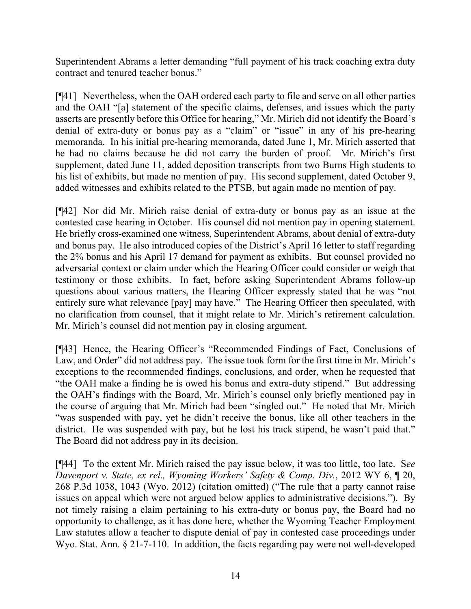Superintendent Abrams a letter demanding "full payment of his track coaching extra duty contract and tenured teacher bonus."

[¶41] Nevertheless, when the OAH ordered each party to file and serve on all other parties and the OAH "[a] statement of the specific claims, defenses, and issues which the party asserts are presently before this Office for hearing," Mr. Mirich did not identify the Board's denial of extra-duty or bonus pay as a "claim" or "issue" in any of his pre-hearing memoranda. In his initial pre-hearing memoranda, dated June 1, Mr. Mirich asserted that he had no claims because he did not carry the burden of proof. Mr. Mirich's first supplement, dated June 11, added deposition transcripts from two Burns High students to his list of exhibits, but made no mention of pay. His second supplement, dated October 9, added witnesses and exhibits related to the PTSB, but again made no mention of pay.

[¶42] Nor did Mr. Mirich raise denial of extra-duty or bonus pay as an issue at the contested case hearing in October. His counsel did not mention pay in opening statement. He briefly cross-examined one witness, Superintendent Abrams, about denial of extra-duty and bonus pay. He also introduced copies of the District's April 16 letter to staff regarding the 2% bonus and his April 17 demand for payment as exhibits. But counsel provided no adversarial context or claim under which the Hearing Officer could consider or weigh that testimony or those exhibits. In fact, before asking Superintendent Abrams follow-up questions about various matters, the Hearing Officer expressly stated that he was "not entirely sure what relevance [pay] may have." The Hearing Officer then speculated, with no clarification from counsel, that it might relate to Mr. Mirich's retirement calculation. Mr. Mirich's counsel did not mention pay in closing argument.

[¶43] Hence, the Hearing Officer's "Recommended Findings of Fact, Conclusions of Law, and Order" did not address pay. The issue took form for the first time in Mr. Mirich's exceptions to the recommended findings, conclusions, and order, when he requested that "the OAH make a finding he is owed his bonus and extra-duty stipend." But addressing the OAH's findings with the Board, Mr. Mirich's counsel only briefly mentioned pay in the course of arguing that Mr. Mirich had been "singled out." He noted that Mr. Mirich "was suspended with pay, yet he didn't receive the bonus, like all other teachers in the district. He was suspended with pay, but he lost his track stipend, he wasn't paid that." The Board did not address pay in its decision.

[¶44] To the extent Mr. Mirich raised the pay issue below, it was too little, too late. S*ee Davenport v. State, ex rel., Wyoming Workers' Safety & Comp. Div.*, 2012 WY 6, ¶ 20, 268 P.3d 1038, 1043 (Wyo. 2012) (citation omitted) ("The rule that a party cannot raise issues on appeal which were not argued below applies to administrative decisions."). By not timely raising a claim pertaining to his extra-duty or bonus pay, the Board had no opportunity to challenge, as it has done here, whether the Wyoming Teacher Employment Law statutes allow a teacher to dispute denial of pay in contested case proceedings under Wyo. Stat. Ann. § 21-7-110. In addition, the facts regarding pay were not well-developed